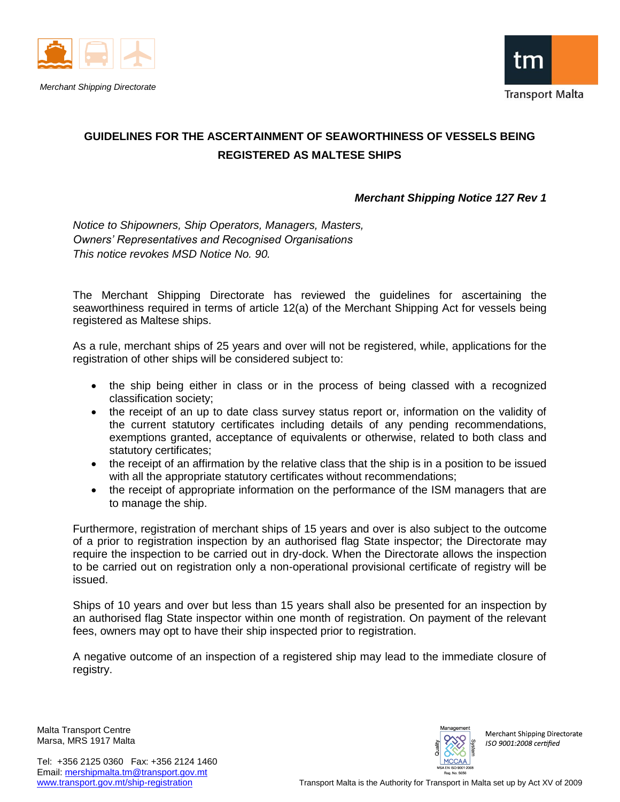

*Merchant Shipping Directorate*



## **GUIDELINES FOR THE ASCERTAINMENT OF SEAWORTHINESS OF VESSELS BEING REGISTERED AS MALTESE SHIPS**

## *Merchant Shipping Notice 127 Rev 1*

*Notice to Shipowners, Ship Operators, Managers, Masters, Owners' Representatives and Recognised Organisations This notice revokes MSD Notice No. 90.*

The Merchant Shipping Directorate has reviewed the guidelines for ascertaining the seaworthiness required in terms of article 12(a) of the Merchant Shipping Act for vessels being registered as Maltese ships.

As a rule, merchant ships of 25 years and over will not be registered, while, applications for the registration of other ships will be considered subject to:

- the ship being either in class or in the process of being classed with a recognized classification society;
- the receipt of an up to date class survey status report or, information on the validity of the current statutory certificates including details of any pending recommendations, exemptions granted, acceptance of equivalents or otherwise, related to both class and statutory certificates;
- the receipt of an affirmation by the relative class that the ship is in a position to be issued with all the appropriate statutory certificates without recommendations;
- the receipt of appropriate information on the performance of the ISM managers that are to manage the ship.

Furthermore, registration of merchant ships of 15 years and over is also subject to the outcome of a prior to registration inspection by an authorised flag State inspector; the Directorate may require the inspection to be carried out in dry-dock. When the Directorate allows the inspection to be carried out on registration only a non-operational provisional certificate of registry will be issued.

Ships of 10 years and over but less than 15 years shall also be presented for an inspection by an authorised flag State inspector within one month of registration. On payment of the relevant fees, owners may opt to have their ship inspected prior to registration.

A negative outcome of an inspection of a registered ship may lead to the immediate closure of registry.

Malta Transport Centre Marsa, MRS 1917 Malta



Merchant Shipping Directorate ISO 9001:2008 certified